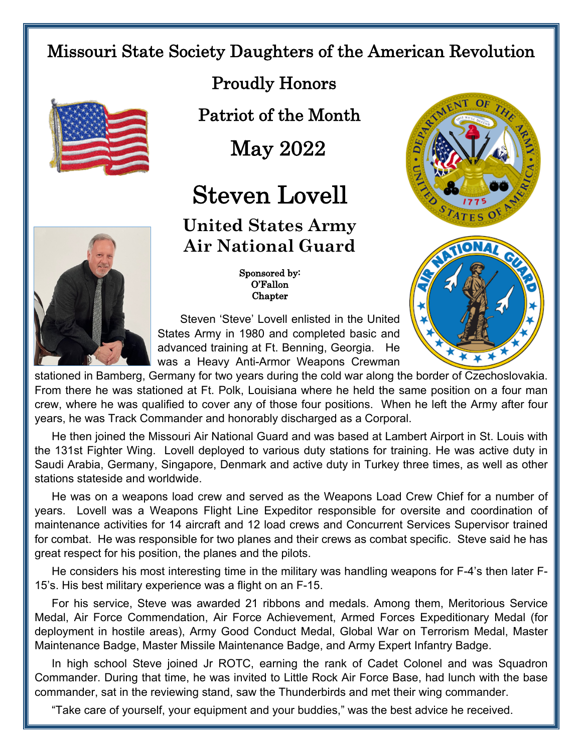## Missouri State Society Daughters of the American Revolution



Proudly Honors

Patriot of the Month

May 2022

## Steven Lovell

**United States Army Air National Guard**





 Sponsored by: O'Fallon Chapter

 Steven 'Steve' Lovell enlisted in the United States Army in 1980 and completed basic and advanced training at Ft. Benning, Georgia. He was a Heavy Anti-Armor Weapons Crewman

stationed in Bamberg, Germany for two years during the cold war along the border of Czechoslovakia. From there he was stationed at Ft. Polk, Louisiana where he held the same position on a four man crew, where he was qualified to cover any of those four positions. When he left the Army after four years, he was Track Commander and honorably discharged as a Corporal.

He then joined the Missouri Air National Guard and was based at Lambert Airport in St. Louis with the 131st Fighter Wing. Lovell deployed to various duty stations for training. He was active duty in Saudi Arabia, Germany, Singapore, Denmark and active duty in Turkey three times, as well as other stations stateside and worldwide.

He was on a weapons load crew and served as the Weapons Load Crew Chief for a number of years. Lovell was a Weapons Flight Line Expeditor responsible for oversite and coordination of maintenance activities for 14 aircraft and 12 load crews and Concurrent Services Supervisor trained for combat. He was responsible for two planes and their crews as combat specific. Steve said he has great respect for his position, the planes and the pilots.

He considers his most interesting time in the military was handling weapons for F-4's then later F-15's. His best military experience was a flight on an F-15.

For his service, Steve was awarded 21 ribbons and medals. Among them, Meritorious Service Medal, Air Force Commendation, Air Force Achievement, Armed Forces Expeditionary Medal (for deployment in hostile areas), Army Good Conduct Medal, Global War on Terrorism Medal, Master Maintenance Badge, Master Missile Maintenance Badge, and Army Expert Infantry Badge.

In high school Steve joined Jr ROTC, earning the rank of Cadet Colonel and was Squadron Commander. During that time, he was invited to Little Rock Air Force Base, had lunch with the base commander, sat in the reviewing stand, saw the Thunderbirds and met their wing commander.

"Take care of yourself, your equipment and your buddies," was the best advice he received.